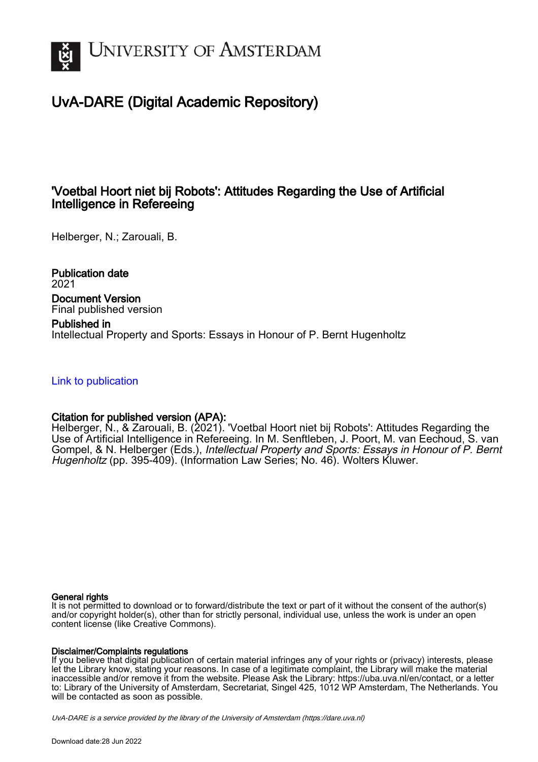

# UvA-DARE (Digital Academic Repository)

## 'Voetbal Hoort niet bij Robots': Attitudes Regarding the Use of Artificial Intelligence in Refereeing

Helberger, N.; Zarouali, B.

Publication date 2021 Document Version Final published version

Published in Intellectual Property and Sports: Essays in Honour of P. Bernt Hugenholtz

[Link to publication](https://dare.uva.nl/personal/pure/en/publications/voetbal-hoort-niet-bij-robots-attitudes-regarding-the-use-of-artificial-intelligence-in-refereeing(1a2400b7-6a13-4354-a71f-b59374504e7f).html)

### Citation for published version (APA):

Helberger, N., & Zarouali, B. (2021). 'Voetbal Hoort niet bij Robots': Attitudes Regarding the Use of Artificial Intelligence in Refereeing. In M. Senftleben, J. Poort, M. van Eechoud, S. van Gompel, & N. Helberger (Eds.), Intellectual Property and Sports: Essays in Honour of P. Bernt Hugenholtz (pp. 395-409). (Information Law Series; No. 46). Wolters Kluwer.

#### General rights

It is not permitted to download or to forward/distribute the text or part of it without the consent of the author(s) and/or copyright holder(s), other than for strictly personal, individual use, unless the work is under an open content license (like Creative Commons).

#### Disclaimer/Complaints regulations

If you believe that digital publication of certain material infringes any of your rights or (privacy) interests, please let the Library know, stating your reasons. In case of a legitimate complaint, the Library will make the material inaccessible and/or remove it from the website. Please Ask the Library: https://uba.uva.nl/en/contact, or a letter to: Library of the University of Amsterdam, Secretariat, Singel 425, 1012 WP Amsterdam, The Netherlands. You will be contacted as soon as possible.

UvA-DARE is a service provided by the library of the University of Amsterdam (http*s*://dare.uva.nl)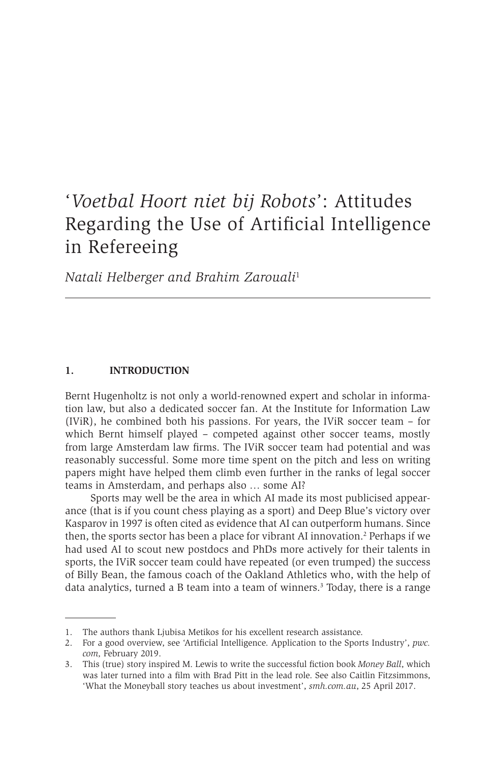# '*Voetbal Hoort niet bij Robots*': Attitudes Regarding the Use of Artificial Intelligence in Refereeing

*Natali Helberger and Brahim Zarouali*<sup>1</sup>

#### **1. INTRODUCTION**

Bernt Hugenholtz is not only a world-renowned expert and scholar in information law, but also a dedicated soccer fan. At the Institute for Information Law (IViR), he combined both his passions. For years, the IViR soccer team – for which Bernt himself played – competed against other soccer teams, mostly from large Amsterdam law firms. The IViR soccer team had potential and was reasonably successful. Some more time spent on the pitch and less on writing papers might have helped them climb even further in the ranks of legal soccer teams in Amsterdam, and perhaps also … some AI?

Sports may well be the area in which AI made its most publicised appearance (that is if you count chess playing as a sport) and Deep Blue's victory over Kasparov in 1997 is often cited as evidence that AI can outperform humans. Since then, the sports sector has been a place for vibrant AI innovation.<sup>2</sup> Perhaps if we had used AI to scout new postdocs and PhDs more actively for their talents in sports, the IViR soccer team could have repeated (or even trumped) the success of Billy Bean, the famous coach of the Oakland Athletics who, with the help of data analytics, turned a B team into a team of winners.<sup>3</sup> Today, there is a range

<sup>1.</sup> The authors thank Ljubisa Metikos for his excellent research assistance.

<sup>2.</sup> For a good overview, see 'Artificial Intelligence. Application to the Sports Industry', *pwc. com,* February 2019.

<sup>3.</sup> This (true) story inspired M. Lewis to write the successful fiction book *Money Ball*, which was later turned into a film with Brad Pitt in the lead role. See also Caitlin Fitzsimmons, 'What the Moneyball story teaches us about investment', *smh.com.au*, 25 April 2017.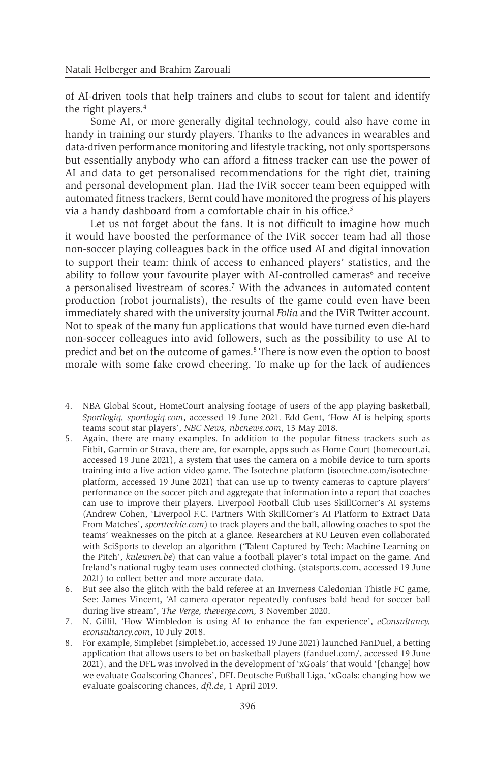of AI-driven tools that help trainers and clubs to scout for talent and identify the right players.<sup>4</sup>

Some AI, or more generally digital technology, could also have come in handy in training our sturdy players. Thanks to the advances in wearables and data-driven performance monitoring and lifestyle tracking, not only sportspersons but essentially anybody who can afford a fitness tracker can use the power of AI and data to get personalised recommendations for the right diet, training and personal development plan. Had the IViR soccer team been equipped with automated fitness trackers, Bernt could have monitored the progress of his players via a handy dashboard from a comfortable chair in his office.<sup>5</sup>

Let us not forget about the fans. It is not difficult to imagine how much it would have boosted the performance of the IViR soccer team had all those non-soccer playing colleagues back in the office used AI and digital innovation to support their team: think of access to enhanced players' statistics, and the ability to follow your favourite player with AI-controlled cameras<sup>6</sup> and receive a personalised livestream of scores.7 With the advances in automated content production (robot journalists), the results of the game could even have been immediately shared with the university journal *Folia* and the IViR Twitter account. Not to speak of the many fun applications that would have turned even die-hard non-soccer colleagues into avid followers, such as the possibility to use AI to predict and bet on the outcome of games.<sup>8</sup> There is now even the option to boost morale with some fake crowd cheering. To make up for the lack of audiences

<sup>4.</sup> NBA Global Scout, HomeCourt analysing footage of users of the app playing basketball, *Sportlogiq, sportlogiq.com*, accessed 19 June 2021. Edd Gent, 'How AI is helping sports teams scout star players', *NBC News, nbcnews.com*, 13 May 2018.

<sup>5.</sup> Again, there are many examples. In addition to the popular fitness trackers such as Fitbit, Garmin or Strava, there are, for example, apps such as Home Court (homecourt.ai, accessed 19 June 2021), a system that uses the camera on a mobile device to turn sports training into a live action video game. The Isotechne platform (isotechne.com/isotechneplatform, accessed 19 June 2021) that can use up to twenty cameras to capture players' performance on the soccer pitch and aggregate that information into a report that coaches can use to improve their players. Liverpool Football Club uses SkillCorner's AI systems (Andrew Cohen, 'Liverpool F.C. Partners With SkillCorner's AI Platform to Extract Data From Matches', *sporttechie.com*) to track players and the ball, allowing coaches to spot the teams' weaknesses on the pitch at a glance. Researchers at KU Leuven even collaborated with SciSports to develop an algorithm ('Talent Captured by Tech: Machine Learning on the Pitch', *kuleuven.be*) that can value a football player's total impact on the game. And Ireland's national rugby team uses connected clothing, (statsports.com, accessed 19 June 2021) to collect better and more accurate data.

<sup>6.</sup> But see also the glitch with the bald referee at an Inverness Caledonian Thistle FC game, See: James Vincent, 'AI camera operator repeatedly confuses bald head for soccer ball during live stream', *The Verge, theverge.com,* 3 November 2020.

<sup>7.</sup> N. Gillil, 'How Wimbledon is using AI to enhance the fan experience', *eConsultancy, econsultancy.com*, 10 July 2018.

<sup>8.</sup> For example, Simplebet (simplebet.io, accessed 19 June 2021) launched FanDuel, a betting application that allows users to bet on basketball players (fanduel.com/, accessed 19 June 2021), and the DFL was involved in the development of 'xGoals' that would '[change] how we evaluate Goalscoring Chances', DFL Deutsche Fußball Liga, 'xGoals: changing how we evaluate goalscoring chances, *dfl.de*, 1 April 2019.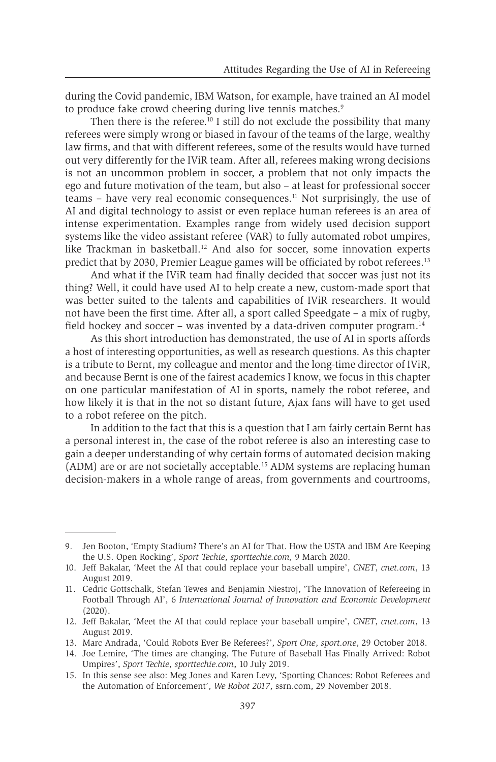during the Covid pandemic, IBM Watson, for example, have trained an AI model to produce fake crowd cheering during live tennis matches.<sup>9</sup>

Then there is the referee.<sup>10</sup> I still do not exclude the possibility that many referees were simply wrong or biased in favour of the teams of the large, wealthy law firms, and that with different referees, some of the results would have turned out very differently for the IViR team. After all, referees making wrong decisions is not an uncommon problem in soccer, a problem that not only impacts the ego and future motivation of the team, but also – at least for professional soccer  $t_{\text{eams}}$  – have very real economic consequences.<sup>11</sup> Not surprisingly, the use of AI and digital technology to assist or even replace human referees is an area of intense experimentation. Examples range from widely used decision support systems like the video assistant referee (VAR) to fully automated robot umpires, like Trackman in basketball.<sup>12</sup> And also for soccer, some innovation experts predict that by 2030, Premier League games will be officiated by robot referees.13

And what if the IViR team had finally decided that soccer was just not its thing? Well, it could have used AI to help create a new, custom-made sport that was better suited to the talents and capabilities of IViR researchers. It would not have been the first time. After all, a sport called Speedgate – a mix of rugby, field hockey and soccer – was invented by a data-driven computer program.14

As this short introduction has demonstrated, the use of AI in sports affords a host of interesting opportunities, as well as research questions. As this chapter is a tribute to Bernt, my colleague and mentor and the long-time director of IViR, and because Bernt is one of the fairest academics I know, we focus in this chapter on one particular manifestation of AI in sports, namely the robot referee, and how likely it is that in the not so distant future, Ajax fans will have to get used to a robot referee on the pitch.

In addition to the fact that this is a question that I am fairly certain Bernt has a personal interest in, the case of the robot referee is also an interesting case to gain a deeper understanding of why certain forms of automated decision making (ADM) are or are not societally acceptable.15 ADM systems are replacing human decision-makers in a whole range of areas, from governments and courtrooms,

<sup>9.</sup> Jen Booton, 'Empty Stadium? There's an AI for That. How the USTA and IBM Are Keeping the U.S. Open Rocking', *Sport Techie*, *sporttechie.com,* 9 March 2020.

<sup>10.</sup> Jeff Bakalar, 'Meet the AI that could replace your baseball umpire', *CNET*, *cnet.com*, 13 August 2019.

<sup>11.</sup> Cedric Gottschalk, Stefan Tewes and Benjamin Niestroj, 'The Innovation of Refereeing in Football Through AI', 6 *International Journal of Innovation and Economic Development* (2020).

<sup>12.</sup> Jeff Bakalar, 'Meet the AI that could replace your baseball umpire', *CNET*, *cnet.com*, 13 August 2019.

<sup>13.</sup> Marc Andrada, 'Could Robots Ever Be Referees?', *Sport One*, *sport.one*, 29 October 2018.

<sup>14.</sup> Joe Lemire, 'The times are changing, The Future of Baseball Has Finally Arrived: Robot Umpires', *Sport Techie*, *sporttechie.com*, 10 July 2019.

<sup>15.</sup> In this sense see also: Meg Jones and Karen Levy, 'Sporting Chances: Robot Referees and the Automation of Enforcement', *We Robot 2017*, ssrn.com, 29 November 2018.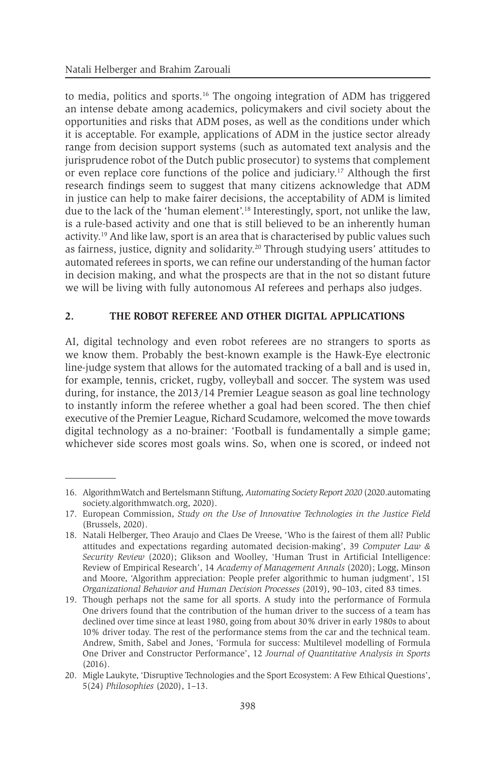to media, politics and sports.16 The ongoing integration of ADM has triggered an intense debate among academics, policymakers and civil society about the opportunities and risks that ADM poses, as well as the conditions under which it is acceptable. For example, applications of ADM in the justice sector already range from decision support systems (such as automated text analysis and the jurisprudence robot of the Dutch public prosecutor) to systems that complement or even replace core functions of the police and judiciary.17 Although the first research findings seem to suggest that many citizens acknowledge that ADM in justice can help to make fairer decisions, the acceptability of ADM is limited due to the lack of the 'human element'.18 Interestingly, sport, not unlike the law, is a rule-based activity and one that is still believed to be an inherently human activity.19 And like law, sport is an area that is characterised by public values such as fairness, justice, dignity and solidarity.20 Through studying users' attitudes to automated referees in sports, we can refine our understanding of the human factor in decision making, and what the prospects are that in the not so distant future we will be living with fully autonomous AI referees and perhaps also judges.

#### **2. THE ROBOT REFEREE AND OTHER DIGITAL APPLICATIONS**

AI, digital technology and even robot referees are no strangers to sports as we know them. Probably the best-known example is the Hawk-Eye electronic line-judge system that allows for the automated tracking of a ball and is used in, for example, tennis, cricket, rugby, volleyball and soccer. The system was used during, for instance, the 2013/14 Premier League season as goal line technology to instantly inform the referee whether a goal had been scored. The then chief executive of the Premier League, Richard Scudamore, welcomed the move towards digital technology as a no-brainer: 'Football is fundamentally a simple game; whichever side scores most goals wins. So, when one is scored, or indeed not

<sup>16.</sup> AlgorithmWatch and Bertelsmann Stiftung, *Automating Society Report 2020* (2020.automating society.algorithmwatch.org, 2020).

<sup>17.</sup> European Commission, *Study on the Use of Innovative Technologies in the Justice Field* (Brussels, 2020).

<sup>18.</sup> Natali Helberger, Theo Araujo and Claes De Vreese, 'Who is the fairest of them all? Public attitudes and expectations regarding automated decision-making', 39 *Computer Law & Security Review* (2020); Glikson and Woolley, 'Human Trust in Artificial Intelligence: Review of Empirical Research', 14 *Academy of Management Annals* (2020); Logg, Minson and Moore, 'Algorithm appreciation: People prefer algorithmic to human judgment', 151 *Organizational Behavior and Human Decision Processes* (2019), 90–103, cited 83 times.

<sup>19.</sup> Though perhaps not the same for all sports. A study into the performance of Formula One drivers found that the contribution of the human driver to the success of a team has declined over time since at least 1980, going from about 30% driver in early 1980s to about 10% driver today. The rest of the performance stems from the car and the technical team. Andrew, Smith, Sabel and Jones, 'Formula for success: Multilevel modelling of Formula One Driver and Constructor Performance', 12 *Journal of Quantitative Analysis in Sports* (2016).

<sup>20.</sup> Migle Laukyte, 'Disruptive Technologies and the Sport Ecosystem: A Few Ethical Questions', 5(24) *Philosophies* (2020), 1–13.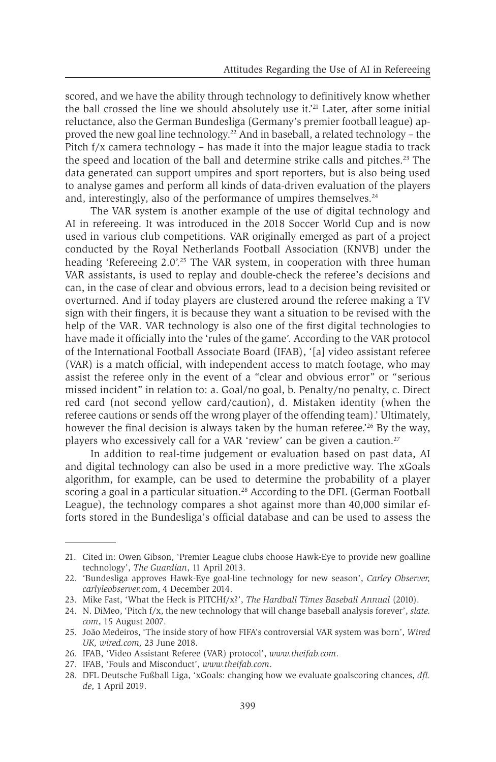scored, and we have the ability through technology to definitively know whether the ball crossed the line we should absolutely use it.'21 Later, after some initial reluctance, also the German Bundesliga (Germany's premier football league) approved the new goal line technology.<sup>22</sup> And in baseball, a related technology – the Pitch f/x camera technology – has made it into the major league stadia to track the speed and location of the ball and determine strike calls and pitches.<sup>23</sup> The data generated can support umpires and sport reporters, but is also being used to analyse games and perform all kinds of data-driven evaluation of the players and, interestingly, also of the performance of umpires themselves.<sup>24</sup>

The VAR system is another example of the use of digital technology and AI in refereeing. It was introduced in the 2018 Soccer World Cup and is now used in various club competitions. VAR originally emerged as part of a project conducted by the Royal Netherlands Football Association (KNVB) under the heading 'Refereeing  $2.0$ '.<sup>25</sup> The VAR system, in cooperation with three human VAR assistants, is used to replay and double-check the referee's decisions and can, in the case of clear and obvious errors, lead to a decision being revisited or overturned. And if today players are clustered around the referee making a TV sign with their fingers, it is because they want a situation to be revised with the help of the VAR. VAR technology is also one of the first digital technologies to have made it officially into the 'rules of the game'. According to the VAR protocol of the International Football Associate Board (IFAB), '[a] video assistant referee (VAR) is a match official, with independent access to match footage, who may assist the referee only in the event of a "clear and obvious error" or "serious missed incident" in relation to: a. Goal/no goal, b. Penalty/no penalty, c. Direct red card (not second yellow card/caution), d. Mistaken identity (when the referee cautions or sends off the wrong player of the offending team).' Ultimately, however the final decision is always taken by the human referee.<sup>26</sup> By the way, players who excessively call for a VAR 'review' can be given a caution.<sup>27</sup>

In addition to real-time judgement or evaluation based on past data, AI and digital technology can also be used in a more predictive way. The xGoals algorithm, for example, can be used to determine the probability of a player scoring a goal in a particular situation.<sup>28</sup> According to the DFL (German Football League), the technology compares a shot against more than 40,000 similar efforts stored in the Bundesliga's official database and can be used to assess the

<sup>21.</sup> Cited in: Owen Gibson, 'Premier League clubs choose Hawk-Eye to provide new goalline technology', *The Guardian*, 11 April 2013.

<sup>22.</sup> 'Bundesliga approves Hawk-Eye goal-line technology for new season', *Carley Observer, carlyleobserver.c*om, 4 December 2014.

<sup>23.</sup> Mike Fast, 'What the Heck is PITCHf/x?', *The Hardball Times Baseball Annual* (2010).

<sup>24.</sup> N. DiMeo, 'Pitch f/x, the new technology that will change baseball analysis forever', *slate. com*, 15 August 2007.

<sup>25.</sup> João Medeiros, 'The inside story of how FIFA's controversial VAR system was born', *Wired UK, wired.com,* 23 June 2018.

<sup>26.</sup> IFAB, 'Video Assistant Referee (VAR) protocol', *www.theifab.com*.

<sup>27.</sup> IFAB, 'Fouls and Misconduct', *www.theifab.com*.

<sup>28.</sup> DFL Deutsche Fußball Liga, 'xGoals: changing how we evaluate goalscoring chances, *dfl. de*, 1 April 2019.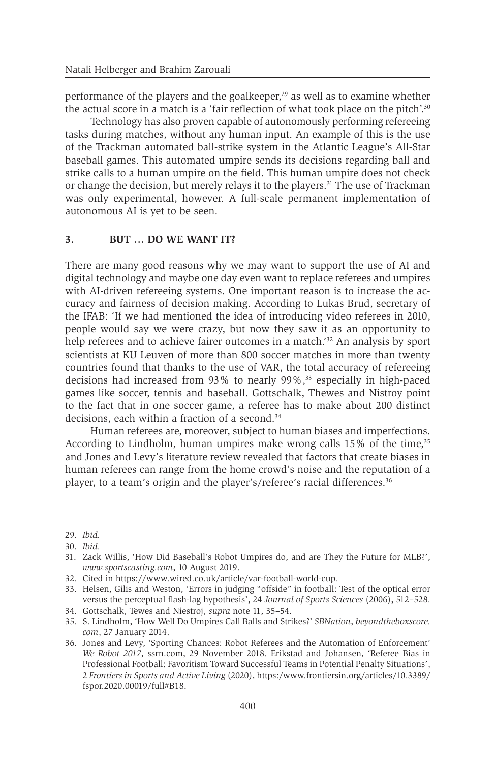performance of the players and the goalkeeper, $29$  as well as to examine whether the actual score in a match is a 'fair reflection of what took place on the pitch'.30

Technology has also proven capable of autonomously performing refereeing tasks during matches, without any human input. An example of this is the use of the Trackman automated ball-strike system in the Atlantic League's All-Star baseball games. This automated umpire sends its decisions regarding ball and strike calls to a human umpire on the field. This human umpire does not check or change the decision, but merely relays it to the players.<sup>31</sup> The use of Trackman was only experimental, however. A full-scale permanent implementation of autonomous AI is yet to be seen.

#### **3. BUT … DO WE WANT IT?**

There are many good reasons why we may want to support the use of AI and digital technology and maybe one day even want to replace referees and umpires with AI-driven refereeing systems. One important reason is to increase the accuracy and fairness of decision making. According to Lukas Brud, secretary of the IFAB: 'If we had mentioned the idea of introducing video referees in 2010, people would say we were crazy, but now they saw it as an opportunity to help referees and to achieve fairer outcomes in a match.<sup>32</sup> An analysis by sport scientists at KU Leuven of more than 800 soccer matches in more than twenty countries found that thanks to the use of VAR, the total accuracy of refereeing decisions had increased from  $93\%$  to nearly  $99\%$ ,<sup>33</sup> especially in high-paced games like soccer, tennis and baseball. Gottschalk, Thewes and Nistroy point to the fact that in one soccer game, a referee has to make about 200 distinct decisions, each within a fraction of a second.<sup>34</sup>

Human referees are, moreover, subject to human biases and imperfections. According to Lindholm, human umpires make wrong calls 15% of the time,<sup>35</sup> and Jones and Levy's literature review revealed that factors that create biases in human referees can range from the home crowd's noise and the reputation of a player, to a team's origin and the player's/referee's racial differences.36

<sup>29.</sup> *Ibid.*

<sup>30.</sup> *Ibid.*

<sup>31.</sup> Zack Willis, 'How Did Baseball's Robot Umpires do, and are They the Future for MLB?', *www.sportscasting.com*, 10 August 2019.

<sup>32.</sup> Cited in https://www.wired.co.uk/article/var-football-world-cup.

<sup>33.</sup> Helsen, Gilis and Weston, 'Errors in judging "offside" in football: Test of the optical error versus the perceptual flash-lag hypothesis', 24 *Journal of Sports Sciences* (2006), 512–528. 34. Gottschalk, Tewes and Niestroj, *supra* note 11, 35–54.

<sup>35.</sup> S. Lindholm, 'How Well Do Umpires Call Balls and Strikes?' *SBNation*, *beyondtheboxscore. com*, 27 January 2014.

<sup>36.</sup> Jones and Levy, 'Sporting Chances: Robot Referees and the Automation of Enforcement' *We Robot 2017*, ssrn.com, 29 November 2018. Erikstad and Johansen, 'Referee Bias in Professional Football: Favoritism Toward Successful Teams in Potential Penalty Situations', 2 *Frontiers in Sports and Active Living* (2020), https:/www.frontiersin.org/articles/10.3389/ fspor.2020.00019/full#B18.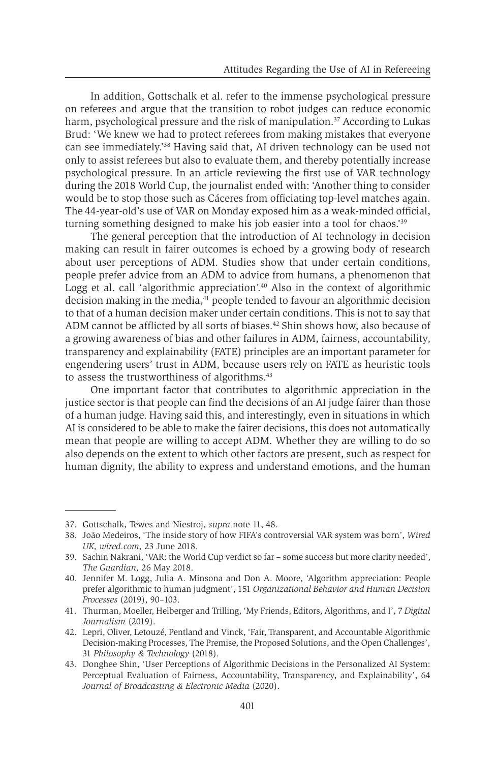In addition, Gottschalk et al. refer to the immense psychological pressure on referees and argue that the transition to robot judges can reduce economic harm, psychological pressure and the risk of manipulation.<sup>37</sup> According to Lukas Brud: 'We knew we had to protect referees from making mistakes that everyone can see immediately.'38 Having said that, AI driven technology can be used not only to assist referees but also to evaluate them, and thereby potentially increase psychological pressure. In an article reviewing the first use of VAR technology during the 2018 World Cup, the journalist ended with: 'Another thing to consider would be to stop those such as Cáceres from officiating top-level matches again. The 44-year-old's use of VAR on Monday exposed him as a weak-minded official, turning something designed to make his job easier into a tool for chaos.'39

The general perception that the introduction of AI technology in decision making can result in fairer outcomes is echoed by a growing body of research about user perceptions of ADM. Studies show that under certain conditions, people prefer advice from an ADM to advice from humans, a phenomenon that Logg et al. call 'algorithmic appreciation'.<sup>40</sup> Also in the context of algorithmic decision making in the media,<sup>41</sup> people tended to favour an algorithmic decision to that of a human decision maker under certain conditions. This is not to say that ADM cannot be afflicted by all sorts of biases.<sup>42</sup> Shin shows how, also because of a growing awareness of bias and other failures in ADM, fairness, accountability, transparency and explainability (FATE) principles are an important parameter for engendering users' trust in ADM, because users rely on FATE as heuristic tools to assess the trustworthiness of algorithms.<sup>43</sup>

One important factor that contributes to algorithmic appreciation in the justice sector is that people can find the decisions of an AI judge fairer than those of a human judge. Having said this, and interestingly, even in situations in which AI is considered to be able to make the fairer decisions, this does not automatically mean that people are willing to accept ADM. Whether they are willing to do so also depends on the extent to which other factors are present, such as respect for human dignity, the ability to express and understand emotions, and the human

<sup>37.</sup> Gottschalk, Tewes and Niestroj, *supra* note 11, 48.

<sup>38.</sup> João Medeiros, 'The inside story of how FIFA's controversial VAR system was born', *Wired UK, wired.com,* 23 June 2018.

<sup>39.</sup> Sachin Nakrani, 'VAR: the World Cup verdict so far – some success but more clarity needed', *The Guardian,* 26 May 2018.

<sup>40.</sup> Jennifer M. Logg, Julia A. Minsona and Don A. Moore, 'Algorithm appreciation: People prefer algorithmic to human judgment', 151 *Organizational Behavior and Human Decision Processes* (2019), 90–103.

<sup>41.</sup> Thurman, Moeller, Helberger and Trilling, 'My Friends, Editors, Algorithms, and I', 7 *Digital Journalism* (2019).

<sup>42.</sup> Lepri, Oliver, Letouzé, Pentland and Vinck, 'Fair, Transparent, and Accountable Algorithmic Decision-making Processes, The Premise, the Proposed Solutions, and the Open Challenges', 31 *Philosophy & Technology* (2018).

<sup>43.</sup> Donghee Shin, 'User Perceptions of Algorithmic Decisions in the Personalized AI System: Perceptual Evaluation of Fairness, Accountability, Transparency, and Explainability', 64 *Journal of Broadcasting & Electronic Media* (2020).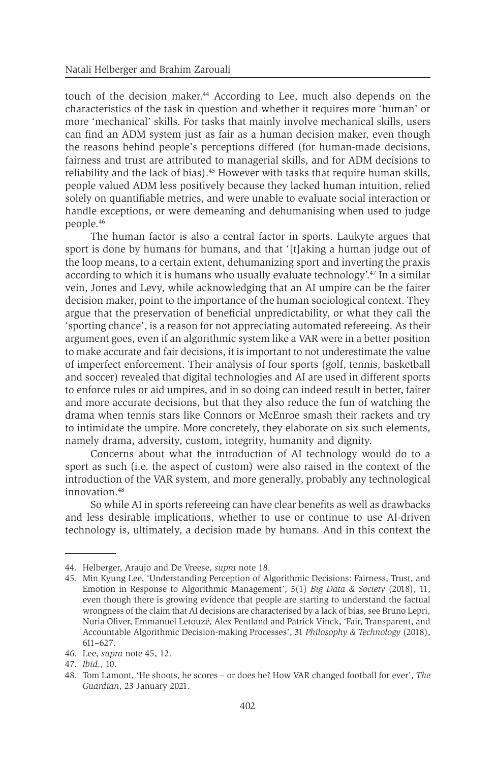touch of the decision maker.<sup>44</sup> According to Lee, much also depends on the characteristics of the task in question and whether it requires more 'human' or more 'mechanical' skills. For tasks that mainly involve mechanical skills, users can find an ADM system just as fair as a human decision maker, even though the reasons behind people's perceptions differed (for human-made decisions, fairness and trust are attributed to managerial skills, and for ADM decisions to reliability and the lack of bias).<sup>45</sup> However with tasks that require human skills, people valued ADM less positively because they lacked human intuition, relied solely on quantifiable metrics, and were unable to evaluate social interaction or handle exceptions, or were demeaning and dehumanising when used to judge people.46

The human factor is also a central factor in sports. Laukyte argues that sport is done by humans for humans, and that '[t]aking a human judge out of the loop means, to a certain extent, dehumanizing sport and inverting the praxis according to which it is humans who usually evaluate technology'.47 In a similar vein, Jones and Levy, while acknowledging that an AI umpire can be the fairer decision maker, point to the importance of the human sociological context. They argue that the preservation of beneficial unpredictability, or what they call the 'sporting chance', is a reason for not appreciating automated refereeing. As their argument goes, even if an algorithmic system like a VAR were in a better position to make accurate and fair decisions, it is important to not underestimate the value of imperfect enforcement. Their analysis of four sports (golf, tennis, basketball and soccer) revealed that digital technologies and AI are used in different sports to enforce rules or aid umpires, and in so doing can indeed result in better, fairer and more accurate decisions, but that they also reduce the fun of watching the drama when tennis stars like Connors or McEnroe smash their rackets and try to intimidate the umpire. More concretely, they elaborate on six such elements, namely drama, adversity, custom, integrity, humanity and dignity.

Concerns about what the introduction of AI technology would do to a sport as such (i.e. the aspect of custom) were also raised in the context of the introduction of the VAR system, and more generally, probably any technological innovation.48

So while AI in sports refereeing can have clear benefits as well as drawbacks and less desirable implications, whether to use or continue to use AI-driven technology is, ultimately, a decision made by humans. And in this context the

<sup>44.</sup> Helberger, Araujo and De Vreese, *supra* note 18.

<sup>45.</sup> Min Kyung Lee, 'Understanding Perception of Algorithmic Decisions: Fairness, Trust, and Emotion in Response to Algorithmic Management', 5(1) *Big Data & Society* (2018), 11, even though there is growing evidence that people are starting to understand the factual wrongness of the claim that AI decisions are characterised by a lack of bias, see Bruno Lepri, Nuria Oliver, Emmanuel Letouzé, Alex Pentland and Patrick Vinck, 'Fair, Transparent, and Accountable Algorithmic Decision-making Processes', 31 *Philosophy & Technology* (2018), 611–627.

<sup>46.</sup> Lee, *supra* note 45, 12.

<sup>47.</sup> *Ibid*., 10.

<sup>48.</sup> Tom Lamont, 'He shoots, he scores – or does he? How VAR changed football for ever', *The Guardian*, 23 January 2021.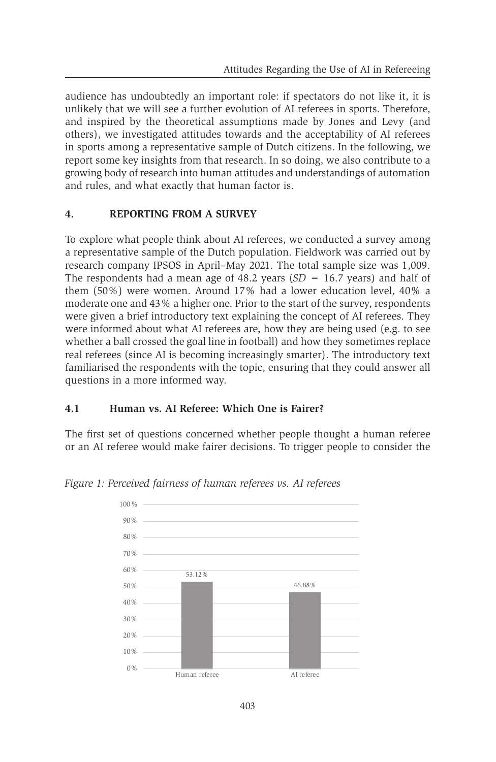audience has undoubtedly an important role: if spectators do not like it, it is unlikely that we will see a further evolution of AI referees in sports. Therefore, and inspired by the theoretical assumptions made by Jones and Levy (and others), we investigated attitudes towards and the acceptability of AI referees in sports among a representative sample of Dutch citizens. In the following, we report some key insights from that research. In so doing, we also contribute to a growing body of research into human attitudes and understandings of automation and rules, and what exactly that human factor is.

#### **4. REPORTING FROM A SURVEY**

To explore what people think about AI referees, we conducted a survey among a representative sample of the Dutch population. Fieldwork was carried out by research company IPSOS in April–May 2021. The total sample size was 1,009. The respondents had a mean age of 48.2 years (*SD* = 16.7 years) and half of them (50%) were women. Around 17% had a lower education level, 40% a moderate one and 43% a higher one. Prior to the start of the survey, respondents were given a brief introductory text explaining the concept of AI referees. They were informed about what AI referees are, how they are being used (e.g. to see whether a ball crossed the goal line in football) and how they sometimes replace real referees (since AI is becoming increasingly smarter). The introductory text familiarised the respondents with the topic, ensuring that they could answer all questions in a more informed way.

#### **4.1 Human vs. AI Referee: Which One is Fairer?**

The first set of questions concerned whether people thought a human referee or an AI referee would make fairer decisions. To trigger people to consider the



*Figure 1: Perceived fairness of human referees vs. AI referees*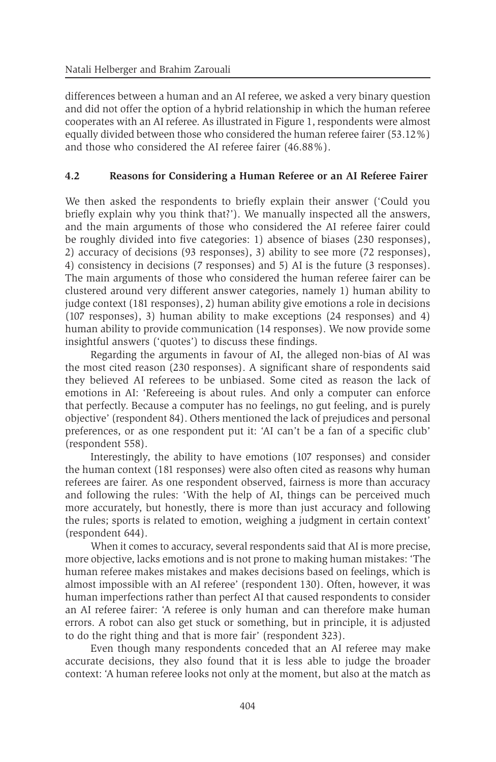differences between a human and an AI referee, we asked a very binary question and did not offer the option of a hybrid relationship in which the human referee cooperates with an AI referee. As illustrated in Figure 1, respondents were almost equally divided between those who considered the human referee fairer  $(53.12\%)$ and those who considered the AI referee fairer (46.88%).

#### **4.2 Reasons for Considering a Human Referee or an AI Referee Fairer**

We then asked the respondents to briefly explain their answer ('Could you briefly explain why you think that?'). We manually inspected all the answers, and the main arguments of those who considered the AI referee fairer could be roughly divided into five categories: 1) absence of biases (230 responses), 2) accuracy of decisions (93 responses), 3) ability to see more (72 responses), 4) consistency in decisions (7 responses) and 5) AI is the future (3 responses). The main arguments of those who considered the human referee fairer can be clustered around very different answer categories, namely 1) human ability to judge context (181 responses), 2) human ability give emotions a role in decisions (107 responses), 3) human ability to make exceptions (24 responses) and 4) human ability to provide communication (14 responses). We now provide some insightful answers ('quotes') to discuss these findings.

Regarding the arguments in favour of AI, the alleged non-bias of AI was the most cited reason (230 responses). A significant share of respondents said they believed AI referees to be unbiased. Some cited as reason the lack of emotions in AI: 'Refereeing is about rules. And only a computer can enforce that perfectly. Because a computer has no feelings, no gut feeling, and is purely objective' (respondent 84). Others mentioned the lack of prejudices and personal preferences, or as one respondent put it: 'AI can't be a fan of a specific club' (respondent 558).

Interestingly, the ability to have emotions (107 responses) and consider the human context (181 responses) were also often cited as reasons why human referees are fairer. As one respondent observed, fairness is more than accuracy and following the rules: 'With the help of AI, things can be perceived much more accurately, but honestly, there is more than just accuracy and following the rules; sports is related to emotion, weighing a judgment in certain context' (respondent 644).

When it comes to accuracy, several respondents said that AI is more precise, more objective, lacks emotions and is not prone to making human mistakes: 'The human referee makes mistakes and makes decisions based on feelings, which is almost impossible with an AI referee' (respondent 130). Often, however, it was human imperfections rather than perfect AI that caused respondents to consider an AI referee fairer: 'A referee is only human and can therefore make human errors. A robot can also get stuck or something, but in principle, it is adjusted to do the right thing and that is more fair' (respondent 323).

Even though many respondents conceded that an AI referee may make accurate decisions, they also found that it is less able to judge the broader context: 'A human referee looks not only at the moment, but also at the match as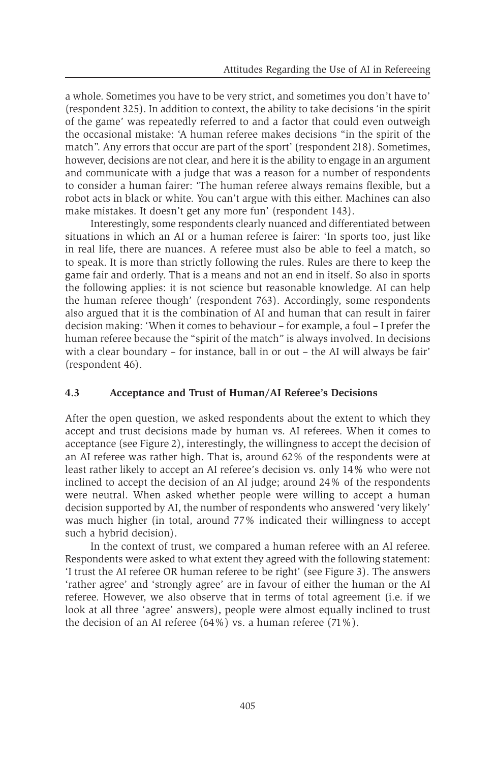a whole. Sometimes you have to be very strict, and sometimes you don't have to' (respondent 325). In addition to context, the ability to take decisions 'in the spirit of the game' was repeatedly referred to and a factor that could even outweigh the occasional mistake: 'A human referee makes decisions "in the spirit of the match". Any errors that occur are part of the sport' (respondent 218). Sometimes, however, decisions are not clear, and here it is the ability to engage in an argument and communicate with a judge that was a reason for a number of respondents to consider a human fairer: 'The human referee always remains flexible, but a robot acts in black or white. You can't argue with this either. Machines can also make mistakes. It doesn't get any more fun' (respondent 143).

Interestingly, some respondents clearly nuanced and differentiated between situations in which an AI or a human referee is fairer: 'In sports too, just like in real life, there are nuances. A referee must also be able to feel a match, so to speak. It is more than strictly following the rules. Rules are there to keep the game fair and orderly. That is a means and not an end in itself. So also in sports the following applies: it is not science but reasonable knowledge. AI can help the human referee though' (respondent 763). Accordingly, some respondents also argued that it is the combination of AI and human that can result in fairer decision making: 'When it comes to behaviour – for example, a foul – I prefer the human referee because the "spirit of the match" is always involved. In decisions with a clear boundary – for instance, ball in or out – the AI will always be fair' (respondent 46).

#### **4.3 Acceptance and Trust of Human/AI Referee's Decisions**

After the open question, we asked respondents about the extent to which they accept and trust decisions made by human vs. AI referees. When it comes to acceptance (see Figure 2), interestingly, the willingness to accept the decision of an AI referee was rather high. That is, around 62% of the respondents were at least rather likely to accept an AI referee's decision vs. only 14% who were not inclined to accept the decision of an AI judge; around 24% of the respondents were neutral. When asked whether people were willing to accept a human decision supported by AI, the number of respondents who answered 'very likely' was much higher (in total, around 77% indicated their willingness to accept such a hybrid decision).

In the context of trust, we compared a human referee with an AI referee. Respondents were asked to what extent they agreed with the following statement: 'I trust the AI referee OR human referee to be right' (see Figure 3). The answers 'rather agree' and 'strongly agree' are in favour of either the human or the AI referee. However, we also observe that in terms of total agreement (i.e. if we look at all three 'agree' answers), people were almost equally inclined to trust the decision of an AI referee (64%) vs. a human referee (71%).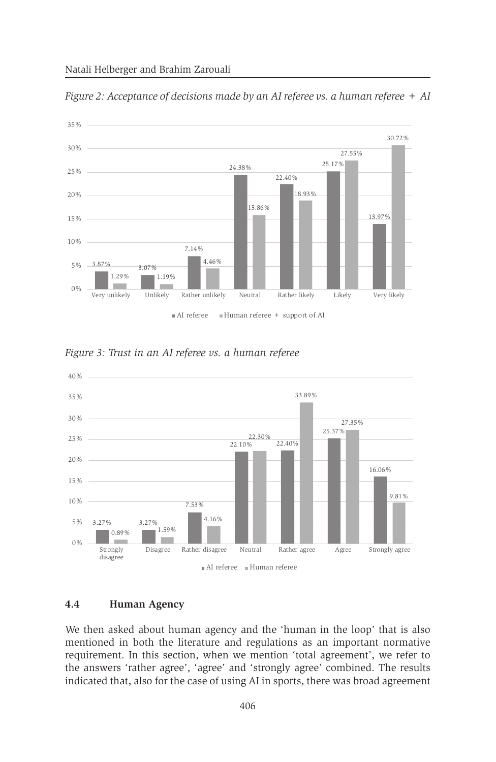

*Figure 2: Acceptance of decisions made by an AI referee vs. a human referee + AI* AI referee Human referee

*Figure 3: Trust in an AI referee vs. a human referee*



#### **4.4 Human Agency**  4.4

We then asked about human agency and the 'human in the loop' that is also mentioned in both the literature and regulations as an important normative requirement. In this section, when we mention 'total agreement', we refer to the answers 'rather agree', 'agree' and 'strongly agree' combined. The results indicated that, also for the case of using AI in sports, there was broad agreement requirement. In this section, when we mention 't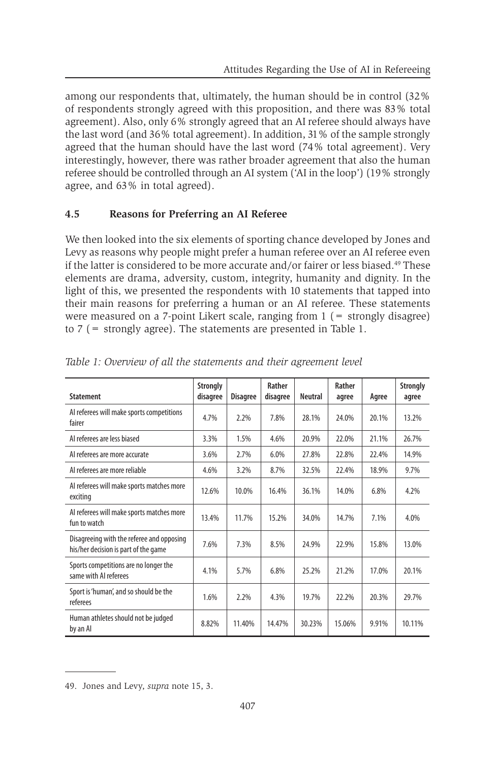among our respondents that, ultimately, the human should be in control (32% of respondents strongly agreed with this proposition, and there was 83% total agreement). Also, only 6% strongly agreed that an AI referee should always have the last word (and 36% total agreement). In addition, 31% of the sample strongly agreed that the human should have the last word (74% total agreement). Very interestingly, however, there was rather broader agreement that also the human referee should be controlled through an AI system ('AI in the loop') (19% strongly agree, and 63% in total agreed).

### **4.5 Reasons for Preferring an AI Referee**

We then looked into the six elements of sporting chance developed by Jones and Levy as reasons why people might prefer a human referee over an AI referee even if the latter is considered to be more accurate and/or fairer or less biased.<sup>49</sup> These elements are drama, adversity, custom, integrity, humanity and dignity. In the light of this, we presented the respondents with 10 statements that tapped into their main reasons for preferring a human or an AI referee. These statements were measured on a 7-point Likert scale, ranging from  $1$  ( $=$  strongly disagree) to 7 (= strongly agree). The statements are presented in Table 1.

| <b>Statement</b>                                                                  | <b>Strongly</b><br>disagree | <b>Disagree</b> | Rather<br>disagree | <b>Neutral</b> | Rather<br>agree | Agree | <b>Strongly</b><br>agree |
|-----------------------------------------------------------------------------------|-----------------------------|-----------------|--------------------|----------------|-----------------|-------|--------------------------|
| Al referees will make sports competitions<br>fairer                               | 4.7%                        | 2.2%            | 7.8%               | 28.1%          | 24.0%           | 20.1% | 13.2%                    |
| Al referees are less biased                                                       | 3.3%                        | 1.5%            | 4.6%               | 20.9%          | 22.0%           | 21.1% | 26.7%                    |
| Al referees are more accurate                                                     | 3.6%                        | 2.7%            | 6.0%               | 27.8%          | 22.8%           | 22.4% | 14.9%                    |
| Al referees are more reliable                                                     | 4.6%                        | 3.2%            | 8.7%               | 32.5%          | 22.4%           | 18.9% | 9.7%                     |
| Al referees will make sports matches more<br>exciting                             | 12.6%                       | 10.0%           | 16.4%              | 36.1%          | 14.0%           | 6.8%  | 4.2%                     |
| Al referees will make sports matches more<br>fun to watch                         | 13.4%                       | 11.7%           | 15.2%              | 34.0%          | 14.7%           | 7.1%  | 4.0%                     |
| Disagreeing with the referee and opposing<br>his/her decision is part of the game | 7.6%                        | 7.3%            | 8.5%               | 24.9%          | 22.9%           | 15.8% | 13.0%                    |
| Sports competitions are no longer the<br>same with AI referees                    | 4.1%                        | 5.7%            | 6.8%               | 25.2%          | 21.2%           | 17.0% | 20.1%                    |
| Sport is 'human', and so should be the<br>referees                                | 1.6%                        | 2.2%            | 4.3%               | 19.7%          | 22.2%           | 20.3% | 29.7%                    |
| Human athletes should not be judged<br>by an Al                                   | 8.82%                       | 11.40%          | 14.47%             | 30.23%         | 15.06%          | 9.91% | 10.11%                   |

<sup>49.</sup> Jones and Levy, *supra* note 15, 3.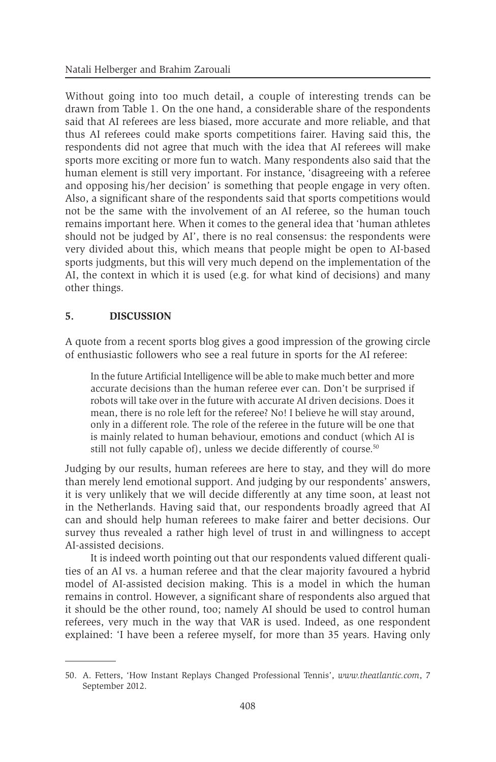Without going into too much detail, a couple of interesting trends can be drawn from Table 1. On the one hand, a considerable share of the respondents said that AI referees are less biased, more accurate and more reliable, and that thus AI referees could make sports competitions fairer. Having said this, the respondents did not agree that much with the idea that AI referees will make sports more exciting or more fun to watch. Many respondents also said that the human element is still very important. For instance, 'disagreeing with a referee and opposing his/her decision' is something that people engage in very often. Also, a significant share of the respondents said that sports competitions would not be the same with the involvement of an AI referee, so the human touch remains important here. When it comes to the general idea that 'human athletes should not be judged by AI', there is no real consensus: the respondents were very divided about this, which means that people might be open to AI-based sports judgments, but this will very much depend on the implementation of the AI, the context in which it is used (e.g. for what kind of decisions) and many other things.

#### **5. DISCUSSION**

A quote from a recent sports blog gives a good impression of the growing circle of enthusiastic followers who see a real future in sports for the AI referee:

In the future Artificial Intelligence will be able to make much better and more accurate decisions than the human referee ever can. Don't be surprised if robots will take over in the future with accurate AI driven decisions. Does it mean, there is no role left for the referee? No! I believe he will stay around, only in a different role. The role of the referee in the future will be one that is mainly related to human behaviour, emotions and conduct (which AI is still not fully capable of), unless we decide differently of course.<sup>50</sup>

Judging by our results, human referees are here to stay, and they will do more than merely lend emotional support. And judging by our respondents' answers, it is very unlikely that we will decide differently at any time soon, at least not in the Netherlands. Having said that, our respondents broadly agreed that AI can and should help human referees to make fairer and better decisions. Our survey thus revealed a rather high level of trust in and willingness to accept AI-assisted decisions.

It is indeed worth pointing out that our respondents valued different qualities of an AI vs. a human referee and that the clear majority favoured a hybrid model of AI-assisted decision making. This is a model in which the human remains in control. However, a significant share of respondents also argued that it should be the other round, too; namely AI should be used to control human referees, very much in the way that VAR is used. Indeed, as one respondent explained: 'I have been a referee myself, for more than 35 years. Having only

<sup>50.</sup> A. Fetters, 'How Instant Replays Changed Professional Tennis', *www.theatlantic.com*, 7 September 2012.